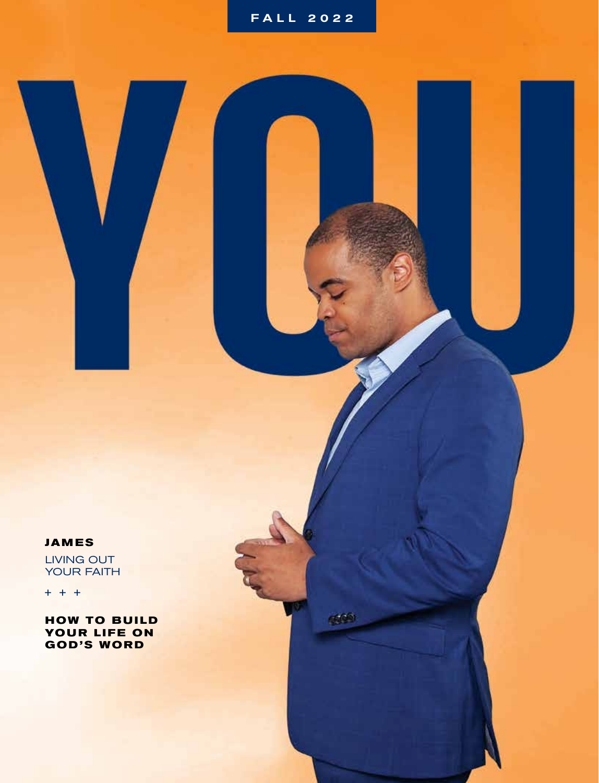#### **JAMES**

LIVING OUT YOUR FAITH

 $+ + +$ 

**HOW TO BUILD YOUR LIFE ON GOD'S WORD**

609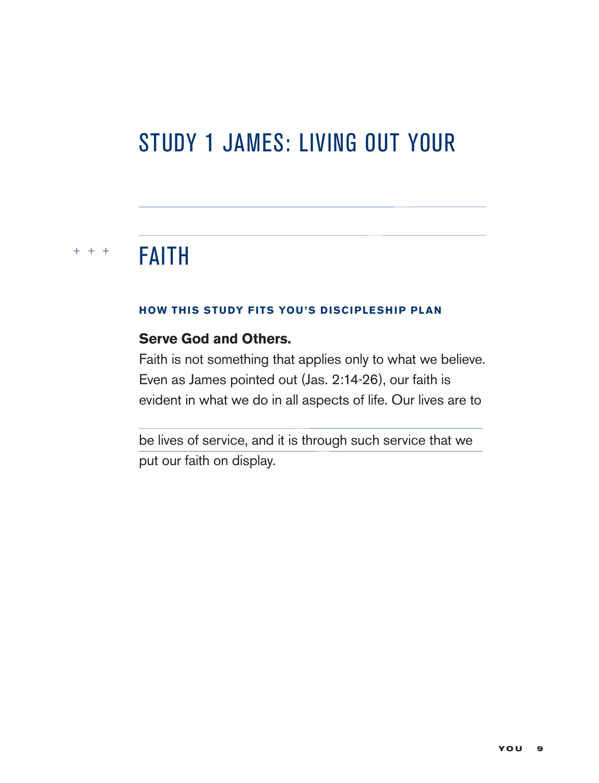# STUDY 1 JAMES: LIVING OUT YOUR

#### $+ + +$ FAITH

#### **HOW THIS STUDY FITS YOU'S DISCIPLESHIP PLAN**

#### **Serve God and Others.**

Faith is not something that applies only to what we believe. Even as James pointed out (Jas. 2:14-26), our faith is evident in what we do in all aspects of life. Our lives are to

be lives of service, and it is through such service that we put our faith on display.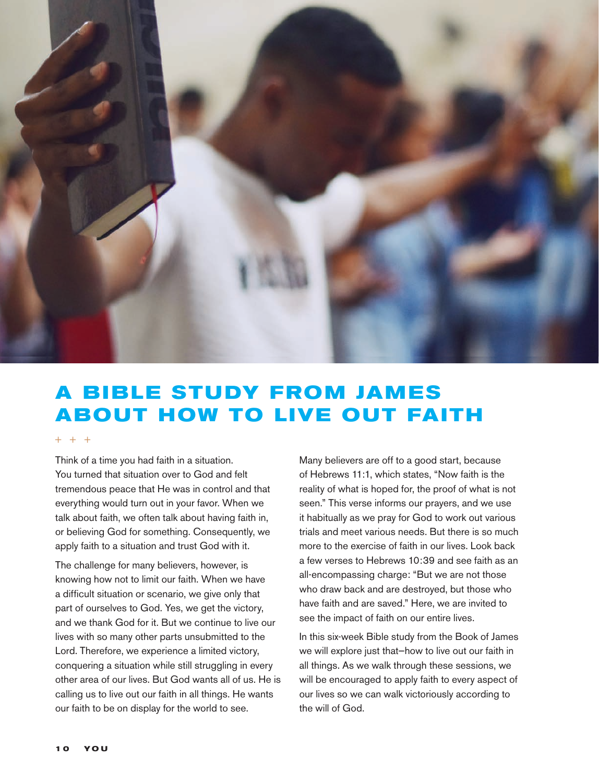

## **A B IBLE STUDY FROM JAMES ABOUT HOW TO LIVE OUT FAITH**

#### $+ + +$

Think of a time you had faith in a situation. You turned that situation over to God and felt tremendous peace that He was in control and that everything would turn out in your favor. When we talk about faith, we often talk about having faith in, or believing God for something. Consequently, we apply faith to a situation and trust God with it.

The challenge for many believers, however, is knowing how not to limit our faith. When we have a difficult situation or scenario, we give only that part of ourselves to God. Yes, we get the victory, and we thank God for it. But we continue to live our lives with so many other parts unsubmitted to the Lord. Therefore, we experience a limited victory, conquering a situation while still struggling in every other area of our lives. But God wants all of us. He is calling us to live out our faith in all things. He wants our faith to be on display for the world to see.

Many believers are off to a good start, because of Hebrews 11:1, which states, "Now faith is the reality of what is hoped for, the proof of what is not seen." This verse informs our prayers, and we use it habitually as we pray for God to work out various trials and meet various needs. But there is so much more to the exercise of faith in our lives. Look back a few verses to Hebrews 10:39 and see faith as an all-encompassing charge: "But we are not those who draw back and are destroyed, but those who have faith and are saved." Here, we are invited to see the impact of faith on our entire lives.

In this six-week Bible study from the Book of James we will explore just that—how to live out our faith in all things. As we walk through these sessions, we will be encouraged to apply faith to every aspect of our lives so we can walk victoriously according to the will of God.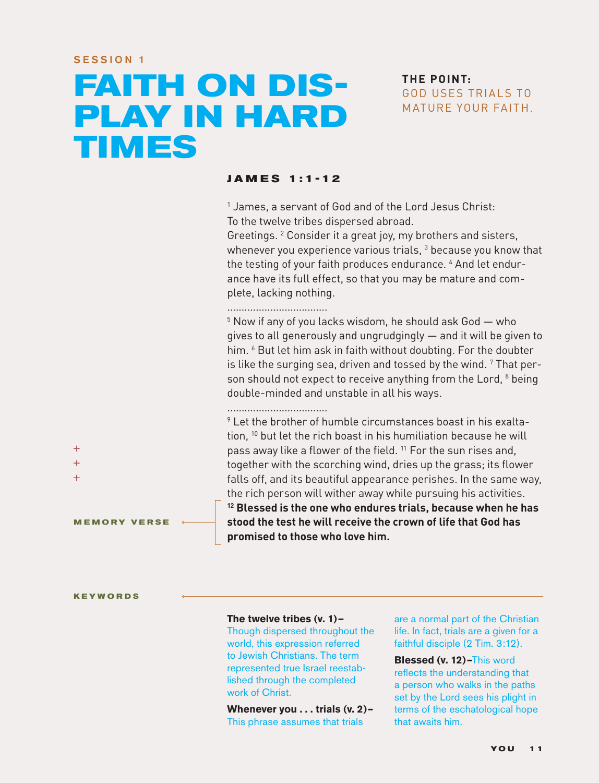# **FAITH ON DIS-PLAY IN HARD TIMES**

#### **THE POINT:** GOD USES TRIALS TO MATURE YOUR FAITH.

#### **JAME S 1:1-12**

1 James, a servant of God and of the Lord Jesus Christ: To the twelve tribes dispersed abroad.

Greetings. <sup>2</sup> Consider it a great joy, my brothers and sisters, whenever you experience various trials,  $^3$  because you know that the testing of your faith produces endurance. 4 And let endurance have its full effect, so that you may be mature and complete, lacking nothing.

...................................

5 Now if any of you lacks wisdom, he should ask God — who gives to all generously and ungrudgingly — and it will be given to him. <sup>6</sup> But let him ask in faith without doubting. For the doubter is like the surging sea, driven and tossed by the wind.  $7$  That person should not expect to receive anything from the Lord, <sup>8</sup> being double-minded and unstable in all his ways.

...................................

 $\,9$  Let the brother of humble circumstances boast in his exaltation, 10 but let the rich boast in his humiliation because he will pass away like a flower of the field.<sup>11</sup> For the sun rises and, together with the scorching wind, dries up the grass; its flower falls off, and its beautiful appearance perishes. In the same way, the rich person will wither away while pursuing his activities. **12 Blessed is the one who endures trials, because when he has stood the test he will receive the crown of life that God has promised to those who love him.**

**MEMORY VERSE**

#### **KEYWORDS**

 $+$  $\ddot{}$  $+$ 

#### **The twelve tribes (v. 1)—**

Though dispersed throughout the world, this expression referred to Jewish Christians. The term represented true Israel reestablished through the completed work of Christ.

**Whenever you . . . trials (v. 2)–** This phrase assumes that trials

are a normal part of the Christian life. In fact, trials are a given for a faithful disciple (2 Tim. 3:12).

**Blessed (v. 12)–**This word reflects the understanding that a person who walks in the paths set by the Lord sees his plight in terms of the eschatological hope that awaits him.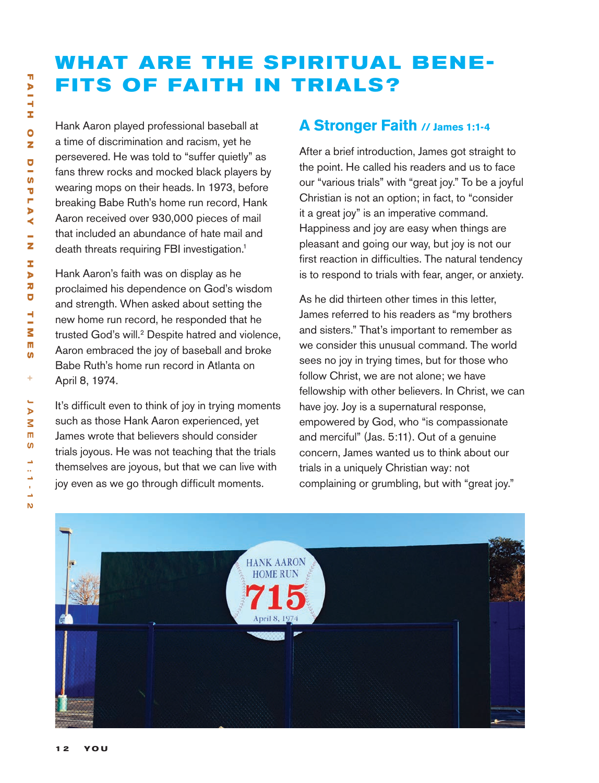## **WHAT ARE THE SPIRITUAL BENE-FITS OF FAITH IN TRIALS?**

Hank Aaron played professional baseball at a time of discrimination and racism, yet he persevered. He was told to "suffer quietly" as fans threw rocks and mocked black players by wearing mops on their heads. In 1973, before breaking Babe Ruth's home run record, Hank Aaron received over 930,000 pieces of mail that included an abundance of hate mail and death threats requiring FBI investigation.<sup>1</sup>

Hank Aaron's faith was on display as he proclaimed his dependence on God's wisdom and strength. When asked about setting the new home run record, he responded that he trusted God's will.<sup>2</sup> Despite hatred and violence, Aaron embraced the joy of baseball and broke Babe Ruth's home run record in Atlanta on April 8, 1974.

It's difficult even to think of joy in trying moments such as those Hank Aaron experienced, yet James wrote that believers should consider trials joyous. He was not teaching that the trials themselves are joyous, but that we can live with joy even as we go through difficult moments.

#### **A Stronger Faith // James 1:1-4**

After a brief introduction, James got straight to the point. He called his readers and us to face our "various trials" with "great joy." To be a joyful Christian is not an option; in fact, to "consider it a great joy" is an imperative command. Happiness and joy are easy when things are pleasant and going our way, but joy is not our first reaction in difficulties. The natural tendency is to respond to trials with fear, anger, or anxiety.

As he did thirteen other times in this letter, James referred to his readers as "my brothers and sisters." That's important to remember as we consider this unusual command. The world sees no joy in trying times, but for those who follow Christ, we are not alone; we have fellowship with other believers. In Christ, we can have joy. Joy is a supernatural response, empowered by God, who "is compassionate and merciful" (Jas. 5:11). Out of a genuine concern, James wanted us to think about our trials in a uniquely Christian way: not complaining or grumbling, but with "great joy."

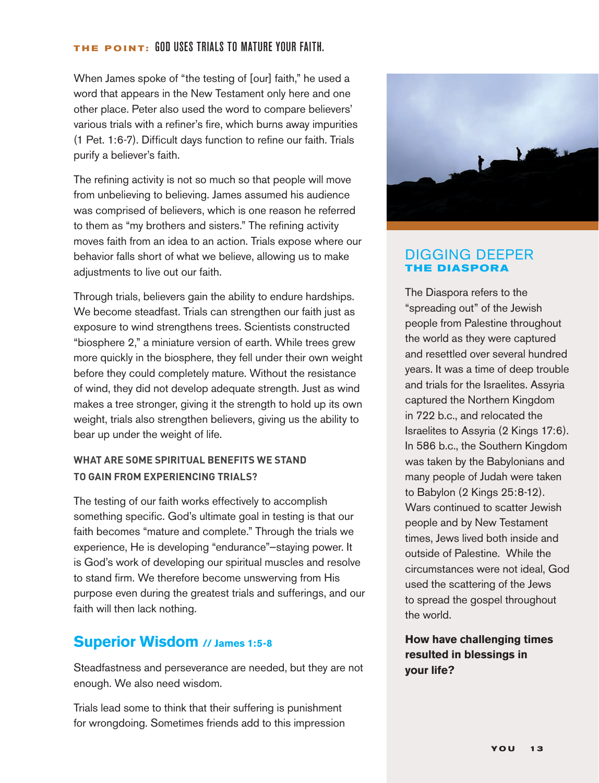#### **THE POINT:** God uses trials to mature your faith.

When James spoke of "the testing of [our] faith," he used a word that appears in the New Testament only here and one other place. Peter also used the word to compare believers' various trials with a refiner's fire, which burns away impurities (1 Pet. 1:6-7). Difficult days function to refine our faith. Trials purify a believer's faith.

The refining activity is not so much so that people will move from unbelieving to believing. James assumed his audience was comprised of believers, which is one reason he referred to them as "my brothers and sisters." The refining activity moves faith from an idea to an action. Trials expose where our behavior falls short of what we believe, allowing us to make adjustments to live out our faith.

Through trials, believers gain the ability to endure hardships. We become steadfast. Trials can strengthen our faith just as exposure to wind strengthens trees. Scientists constructed "biosphere 2," a miniature version of earth. While trees grew more quickly in the biosphere, they fell under their own weight before they could completely mature. Without the resistance of wind, they did not develop adequate strength. Just as wind makes a tree stronger, giving it the strength to hold up its own weight, trials also strengthen believers, giving us the ability to bear up under the weight of life.

#### **WHAT ARE SOME SPIRITUAL BENEFITS WE STAND TO GAIN FROM EXPERIENCING TRIALS?**

The testing of our faith works effectively to accomplish something specific. God's ultimate goal in testing is that our faith becomes "mature and complete." Through the trials we experience, He is developing "endurance"—staying power. It is God's work of developing our spiritual muscles and resolve to stand firm. We therefore become unswerving from His purpose even during the greatest trials and sufferings, and our faith will then lack nothing.

#### **Superior Wisdom // James 1:5-8**

Steadfastness and perseverance are needed, but they are not enough. We also need wisdom.

Trials lead some to think that their suffering is punishment for wrongdoing. Sometimes friends add to this impression



#### DIGGING DEEPER **THE DIASPORA**

The Diaspora refers to the "spreading out" of the Jewish people from Palestine throughout the world as they were captured and resettled over several hundred years. It was a time of deep trouble and trials for the Israelites. Assyria captured the Northern Kingdom in 722 b.c., and relocated the Israelites to Assyria (2 Kings 17:6). In 586 b.c., the Southern Kingdom was taken by the Babylonians and many people of Judah were taken to Babylon (2 Kings 25:8-12). Wars continued to scatter Jewish people and by New Testament times, Jews lived both inside and outside of Palestine. While the circumstances were not ideal, God used the scattering of the Jews to spread the gospel throughout the world.

**How have challenging times resulted in blessings in your life?**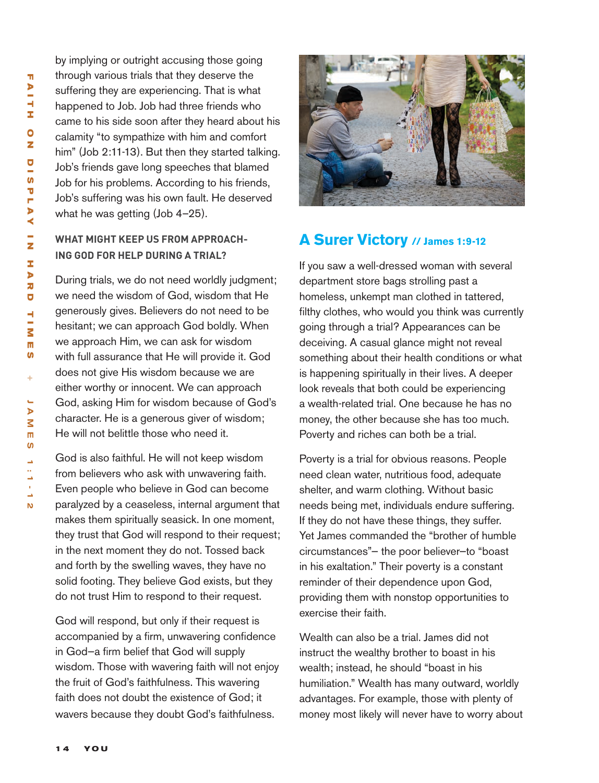by implying or outright accusing those going through various trials that they deserve the suffering they are experiencing. That is what happened to Job. Job had three friends who came to his side soon after they heard about his calamity "to sympathize with him and comfort him" (Job 2:11-13). But then they started talking. Job's friends gave long speeches that blamed Job for his problems. According to his friends, Job's suffering was his own fault. He deserved what he was getting (Job 4–25).

#### **WHAT MIGHT KEEP US FROM APPROACH-ING GOD FOR HELP DURING A TRIAL?**

During trials, we do not need worldly judgment; we need the wisdom of God, wisdom that He generously gives. Believers do not need to be hesitant; we can approach God boldly. When we approach Him, we can ask for wisdom with full assurance that He will provide it. God does not give His wisdom because we are either worthy or innocent. We can approach God, asking Him for wisdom because of God's character. He is a generous giver of wisdom; He will not belittle those who need it.

God is also faithful. He will not keep wisdom from believers who ask with unwavering faith. Even people who believe in God can become paralyzed by a ceaseless, internal argument that makes them spiritually seasick. In one moment, they trust that God will respond to their request; in the next moment they do not. Tossed back and forth by the swelling waves, they have no solid footing. They believe God exists, but they do not trust Him to respond to their request.

God will respond, but only if their request is accompanied by a firm, unwavering confidence in God—a firm belief that God will supply wisdom. Those with wavering faith will not enjoy the fruit of God's faithfulness. This wavering faith does not doubt the existence of God; it wavers because they doubt God's faithfulness.



#### **A Surer Victory // James 1:9-12**

If you saw a well-dressed woman with several department store bags strolling past a homeless, unkempt man clothed in tattered, filthy clothes, who would you think was currently going through a trial? Appearances can be deceiving. A casual glance might not reveal something about their health conditions or what is happening spiritually in their lives. A deeper look reveals that both could be experiencing a wealth-related trial. One because he has no money, the other because she has too much. Poverty and riches can both be a trial.

Poverty is a trial for obvious reasons. People need clean water, nutritious food, adequate shelter, and warm clothing. Without basic needs being met, individuals endure suffering. If they do not have these things, they suffer. Yet James commanded the "brother of humble circumstances"— the poor believer—to "boast in his exaltation." Their poverty is a constant reminder of their dependence upon God, providing them with nonstop opportunities to exercise their faith.

Wealth can also be a trial. James did not instruct the wealthy brother to boast in his wealth; instead, he should "boast in his humiliation." Wealth has many outward, worldly advantages. For example, those with plenty of money most likely will never have to worry about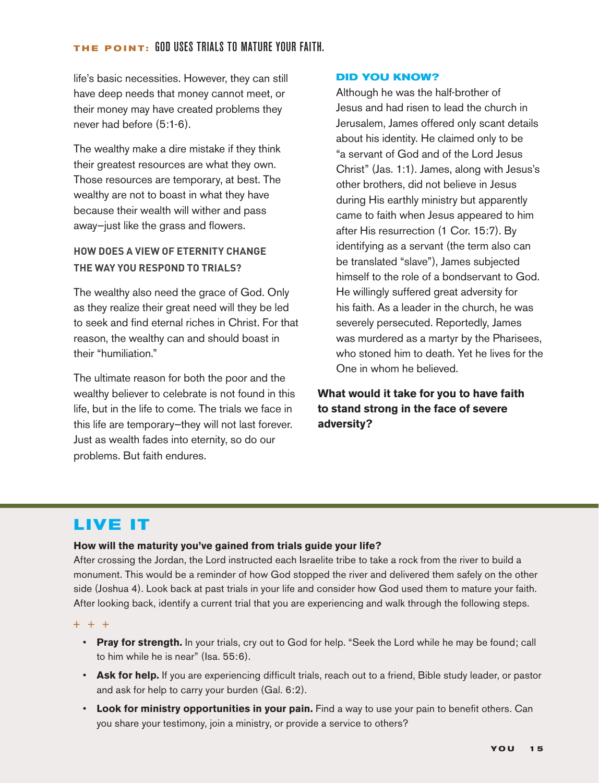#### **THE POINT:** God uses trials to mature your faith.

life's basic necessities. However, they can still have deep needs that money cannot meet, or their money may have created problems they never had before (5:1-6).

The wealthy make a dire mistake if they think their greatest resources are what they own. Those resources are temporary, at best. The wealthy are not to boast in what they have because their wealth will wither and pass away—just like the grass and flowers.

#### **HOW DOES A VIEW OF ETERNITY CHANGE THE WAY YOU RESPOND TO TRIALS?**

The wealthy also need the grace of God. Only as they realize their great need will they be led to seek and find eternal riches in Christ. For that reason, the wealthy can and should boast in their "humiliation."

The ultimate reason for both the poor and the wealthy believer to celebrate is not found in this life, but in the life to come. The trials we face in this life are temporary—they will not last forever. Just as wealth fades into eternity, so do our problems. But faith endures.

#### **DID YOU KNOW?**

Although he was the half-brother of Jesus and had risen to lead the church in Jerusalem, James offered only scant details about his identity. He claimed only to be "a servant of God and of the Lord Jesus Christ" (Jas. 1:1). James, along with Jesus's other brothers, did not believe in Jesus during His earthly ministry but apparently came to faith when Jesus appeared to him after His resurrection (1 Cor. 15:7). By identifying as a servant (the term also can be translated "slave"), James subjected himself to the role of a bondservant to God. He willingly suffered great adversity for his faith. As a leader in the church, he was severely persecuted. Reportedly, James was murdered as a martyr by the Pharisees, who stoned him to death. Yet he lives for the One in whom he believed.

#### **What would it take for you to have faith to stand strong in the face of severe adversity?**

## **LIVE IT**

#### **How will the maturity you've gained from trials guide your life?**

After crossing the Jordan, the Lord instructed each Israelite tribe to take a rock from the river to build a monument. This would be a reminder of how God stopped the river and delivered them safely on the other side (Joshua 4). Look back at past trials in your life and consider how God used them to mature your faith. After looking back, identify a current trial that you are experiencing and walk through the following steps.

#### $+ + +$

- **Pray for strength.** In your trials, cry out to God for help. "Seek the Lord while he may be found; call to him while he is near" (Isa. 55:6).
- **Ask for help.** If you are experiencing difficult trials, reach out to a friend, Bible study leader, or pastor and ask for help to carry your burden (Gal. 6:2).
- **Look for ministry opportunities in your pain.** Find a way to use your pain to benefit others. Can you share your testimony, join a ministry, or provide a service to others?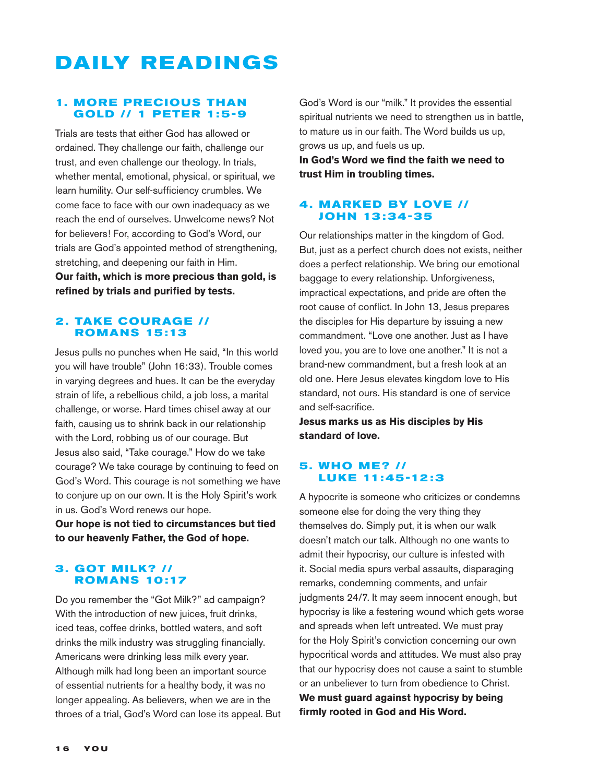## **DAILY READINGS**

#### **1. MORE PRECIOUS THAN GOLD // 1 PETER 1:5-9**

Trials are tests that either God has allowed or ordained. They challenge our faith, challenge our trust, and even challenge our theology. In trials, whether mental, emotional, physical, or spiritual, we learn humility. Our self-sufficiency crumbles. We come face to face with our own inadequacy as we reach the end of ourselves. Unwelcome news? Not for believers! For, according to God's Word, our trials are God's appointed method of strengthening, stretching, and deepening our faith in Him. **Our faith, which is more precious than gold, is refined by trials and purified by tests.**

#### **2. TAKE COURAGE // ROMANS 15 :13**

Jesus pulls no punches when He said, "In this world you will have trouble" (John 16:33). Trouble comes in varying degrees and hues. It can be the everyday strain of life, a rebellious child, a job loss, a marital challenge, or worse. Hard times chisel away at our faith, causing us to shrink back in our relationship with the Lord, robbing us of our courage. But Jesus also said, "Take courage." How do we take courage? We take courage by continuing to feed on God's Word. This courage is not something we have to conjure up on our own. It is the Holy Spirit's work in us. God's Word renews our hope.

**Our hope is not tied to circumstances but tied to our heavenly Father, the God of hope.**

#### **3. GOT MILK? // ROMANS 10:17**

Do you remember the "Got Milk?" ad campaign? With the introduction of new juices, fruit drinks, iced teas, coffee drinks, bottled waters, and soft drinks the milk industry was struggling financially. Americans were drinking less milk every year. Although milk had long been an important source of essential nutrients for a healthy body, it was no longer appealing. As believers, when we are in the throes of a trial, God's Word can lose its appeal. But God's Word is our "milk." It provides the essential spiritual nutrients we need to strengthen us in battle, to mature us in our faith. The Word builds us up, grows us up, and fuels us up.

**In God's Word we find the faith we need to trust Him in troubling times.**

#### **4. MARKED BY LOVE // JOHN 13 : 34 -35**

Our relationships matter in the kingdom of God. But, just as a perfect church does not exists, neither does a perfect relationship. We bring our emotional baggage to every relationship. Unforgiveness, impractical expectations, and pride are often the root cause of conflict. In John 13, Jesus prepares the disciples for His departure by issuing a new commandment. "Love one another. Just as I have loved you, you are to love one another." It is not a brand-new commandment, but a fresh look at an old one. Here Jesus elevates kingdom love to His standard, not ours. His standard is one of service and self-sacrifice.

**Jesus marks us as His disciples by His standard of love.**

#### **5. WHO ME ? // LUK E 11: 45 -12 : 3**

A hypocrite is someone who criticizes or condemns someone else for doing the very thing they themselves do. Simply put, it is when our walk doesn't match our talk. Although no one wants to admit their hypocrisy, our culture is infested with it. Social media spurs verbal assaults, disparaging remarks, condemning comments, and unfair judgments 24/7. It may seem innocent enough, but hypocrisy is like a festering wound which gets worse and spreads when left untreated. We must pray for the Holy Spirit's conviction concerning our own hypocritical words and attitudes. We must also pray that our hypocrisy does not cause a saint to stumble or an unbeliever to turn from obedience to Christ. **We must guard against hypocrisy by being firmly rooted in God and His Word.**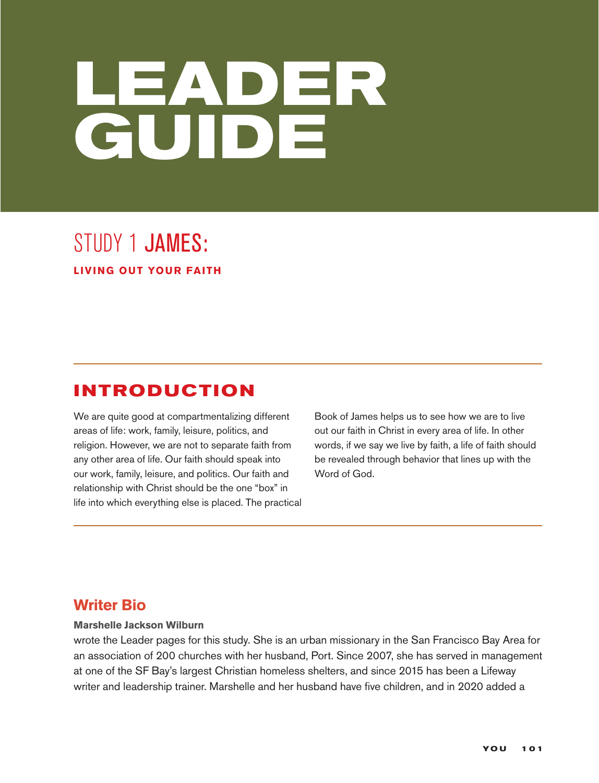# **LEADER GUIDE**

## STUDY 1 JAMES: **LIVING OUT YOUR FAITH**

## **INTRODUCTION**

We are quite good at compartmentalizing different areas of life: work, family, leisure, politics, and religion. However, we are not to separate faith from any other area of life. Our faith should speak into our work, family, leisure, and politics. Our faith and relationship with Christ should be the one "box" in life into which everything else is placed. The practical

Book of James helps us to see how we are to live out our faith in Christ in every area of life. In other words, if we say we live by faith, a life of faith should be revealed through behavior that lines up with the Word of God.

## **Writer Bio**

#### **Marshelle Jackson Wilburn**

wrote the Leader pages for this study. She is an urban missionary in the San Francisco Bay Area for an association of 200 churches with her husband, Port. Since 2007, she has served in management at one of the SF Bay's largest Christian homeless shelters, and since 2015 has been a Lifeway writer and leadership trainer. Marshelle and her husband have five children, and in 2020 added a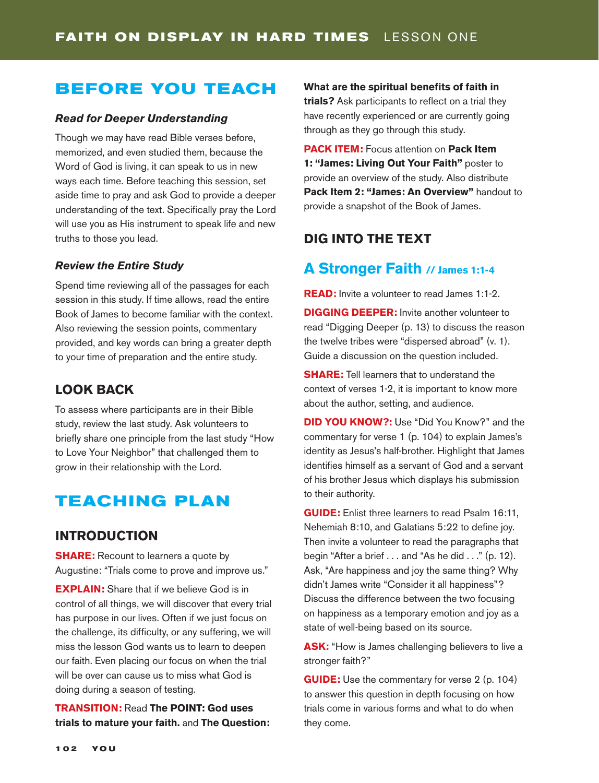## **BEFORE YOU TEACH**

#### *Read for Deeper Understanding*

Though we may have read Bible verses before, memorized, and even studied them, because the Word of God is living, it can speak to us in new ways each time. Before teaching this session, set aside time to pray and ask God to provide a deeper understanding of the text. Specifically pray the Lord will use you as His instrument to speak life and new truths to those you lead.

#### *Review the Entire Study*

Spend time reviewing all of the passages for each session in this study. If time allows, read the entire Book of James to become familiar with the context. Also reviewing the session points, commentary provided, and key words can bring a greater depth to your time of preparation and the entire study.

#### **LOOK BACK**

To assess where participants are in their Bible study, review the last study. Ask volunteers to briefly share one principle from the last study "How to Love Your Neighbor" that challenged them to grow in their relationship with the Lord.

### **TEACHING PLAN**

#### **INTRODUCTION**

**SHARE:** Recount to learners a quote by Augustine: "Trials come to prove and improve us."

**EXPLAIN:** Share that if we believe God is in control of all things, we will discover that every trial has purpose in our lives. Often if we just focus on the challenge, its difficulty, or any suffering, we will miss the lesson God wants us to learn to deepen our faith. Even placing our focus on when the trial will be over can cause us to miss what God is doing during a season of testing.

**TRANSITION:** Read **The POINT: God uses trials to mature your faith.** and **The Question:**  **What are the spiritual benefits of faith in trials?** Ask participants to reflect on a trial they have recently experienced or are currently going through as they go through this study.

**PACK ITEM:** Focus attention on **Pack Item 1: "James: Living Out Your Faith"** poster to provide an overview of the study. Also distribute **Pack Item 2: "James: An Overview"** handout to provide a snapshot of the Book of James.

#### **DIG INTO THE TEXT**

#### **A Stronger Faith // James 1:1-4**

**READ:** Invite a volunteer to read James 1:1-2.

**DIGGING DEEPER:** Invite another volunteer to read "Digging Deeper (p. 13) to discuss the reason the twelve tribes were "dispersed abroad" (v. 1). Guide a discussion on the question included.

**SHARE:** Tell learners that to understand the context of verses 1-2, it is important to know more about the author, setting, and audience.

**DID YOU KNOW?:** Use "Did You Know?" and the commentary for verse 1 (p. 104) to explain James's identity as Jesus's half-brother. Highlight that James identifies himself as a servant of God and a servant of his brother Jesus which displays his submission to their authority.

**GUIDE:** Enlist three learners to read Psalm 16:11, Nehemiah 8:10, and Galatians 5:22 to define joy. Then invite a volunteer to read the paragraphs that begin "After a brief . . . and "As he did . . ." (p. 12). Ask, "Are happiness and joy the same thing? Why didn't James write "Consider it all happiness"? Discuss the difference between the two focusing on happiness as a temporary emotion and joy as a state of well-being based on its source.

**ASK:** "How is James challenging believers to live a stronger faith?"

**GUIDE:** Use the commentary for verse 2 (p. 104) to answer this question in depth focusing on how trials come in various forms and what to do when they come.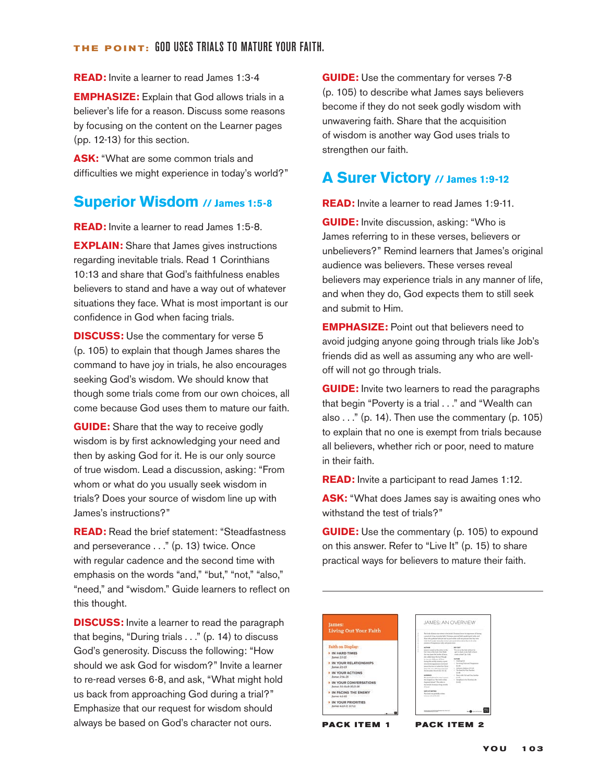**READ:** Invite a learner to read James 1:3-4

**EMPHASIZE:** Explain that God allows trials in a believer's life for a reason. Discuss some reasons by focusing on the content on the Learner pages (pp. 12-13) for this section.

**ASK:** "What are some common trials and difficulties we might experience in today's world?"

#### **Superior Wisdom // James 1:5-8**

**READ:** Invite a learner to read James 1:5-8.

**EXPLAIN:** Share that James gives instructions regarding inevitable trials. Read 1 Corinthians 10:13 and share that God's faithfulness enables believers to stand and have a way out of whatever situations they face. What is most important is our confidence in God when facing trials.

**DISCUSS:** Use the commentary for verse 5 (p. 105) to explain that though James shares the command to have joy in trials, he also encourages seeking God's wisdom. We should know that though some trials come from our own choices, all come because God uses them to mature our faith.

**GUIDE:** Share that the way to receive godly wisdom is by first acknowledging your need and then by asking God for it. He is our only source of true wisdom. Lead a discussion, asking: "From whom or what do you usually seek wisdom in trials? Does your source of wisdom line up with James's instructions?"

**READ:** Read the brief statement: "Steadfastness and perseverance . . ." (p. 13) twice. Once with regular cadence and the second time with emphasis on the words "and," "but," "not," "also," "need," and "wisdom." Guide learners to reflect on this thought.

**DISCUSS:** Invite a learner to read the paragraph that begins, "During trials . . ." (p. 14) to discuss God's generosity. Discuss the following: "How should we ask God for wisdom?" Invite a learner to re-read verses 6-8, and ask, "What might hold us back from approaching God during a trial?" Emphasize that our request for wisdom should always be based on God's character not ours.

**GUIDE:** Use the commentary for verses 7-8 (p. 105) to describe what James says believers become if they do not seek godly wisdom with unwavering faith. Share that the acquisition of wisdom is another way God uses trials to strengthen our faith.

#### **A Surer Victory // James 1:9-12**

**READ:** Invite a learner to read James 1:9-11.

**GUIDE:** Invite discussion, asking: "Who is James referring to in these verses, believers or unbelievers?" Remind learners that James's original audience was believers. These verses reveal believers may experience trials in any manner of life, and when they do, God expects them to still seek and submit to Him.

**EMPHASIZE:** Point out that believers need to avoid judging anyone going through trials like Job's friends did as well as assuming any who are welloff will not go through trials.

**GUIDE:** Invite two learners to read the paragraphs that begin "Poverty is a trial . . ." and "Wealth can also  $\dots$ " (p. 14). Then use the commentary (p. 105) to explain that no one is exempt from trials because all believers, whether rich or poor, need to mature in their faith.

**READ:** Invite a participant to read James 1:12.

**ASK:** "What does James say is awaiting ones who withstand the test of trials?"

**GUIDE:** Use the commentary (p. 105) to expound on this answer. Refer to "Live It" (p. 15) to share practical ways for believers to mature their faith.

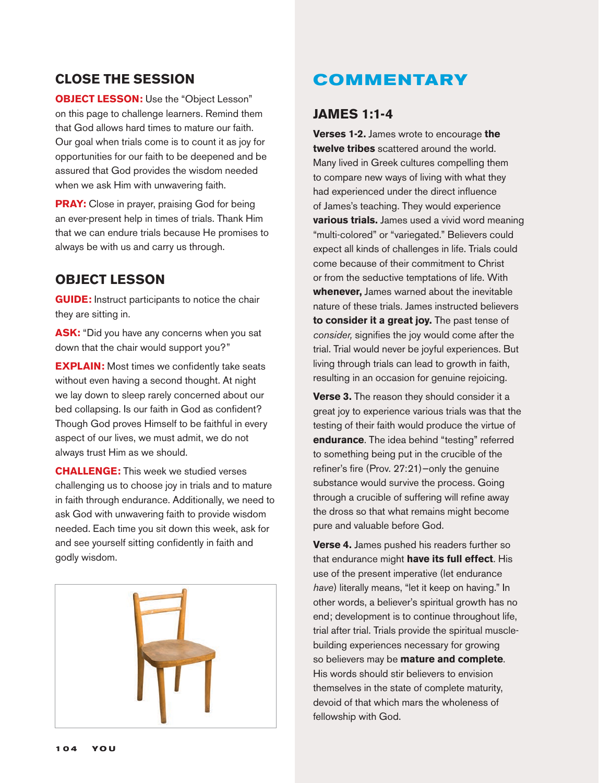#### **CLOSE THE SESSION**

**OBJECT LESSON:** Use the "Object Lesson" on this page to challenge learners. Remind them that God allows hard times to mature our faith. Our goal when trials come is to count it as joy for opportunities for our faith to be deepened and be assured that God provides the wisdom needed when we ask Him with unwavering faith.

**PRAY:** Close in prayer, praising God for being an ever-present help in times of trials. Thank Him that we can endure trials because He promises to always be with us and carry us through.

#### **OBJECT LESSON**

**GUIDE:** Instruct participants to notice the chair they are sitting in.

**ASK:** "Did you have any concerns when you sat down that the chair would support you?"

**EXPLAIN:** Most times we confidently take seats without even having a second thought. At night we lay down to sleep rarely concerned about our bed collapsing. Is our faith in God as confident? Though God proves Himself to be faithful in every aspect of our lives, we must admit, we do not always trust Him as we should.

**CHALLENGE:** This week we studied verses challenging us to choose joy in trials and to mature in faith through endurance. Additionally, we need to ask God with unwavering faith to provide wisdom needed. Each time you sit down this week, ask for and see yourself sitting confidently in faith and godly wisdom.



## **COMMENTARY**

#### **JAMES 1:1-4**

**Verses 1-2.** James wrote to encourage **the twelve tribes** scattered around the world. Many lived in Greek cultures compelling them to compare new ways of living with what they had experienced under the direct influence of James's teaching. They would experience **various trials.** James used a vivid word meaning "multi-colored" or "variegated." Believers could expect all kinds of challenges in life. Trials could come because of their commitment to Christ or from the seductive temptations of life. With **whenever,** James warned about the inevitable nature of these trials. James instructed believers **to consider it a great joy.** The past tense of *consider,* signifies the joy would come after the trial. Trial would never be joyful experiences. But living through trials can lead to growth in faith, resulting in an occasion for genuine rejoicing.

**Verse 3.** The reason they should consider it a great joy to experience various trials was that the testing of their faith would produce the virtue of **endurance**. The idea behind "testing" referred to something being put in the crucible of the refiner's fire (Prov. 27:21)—only the genuine substance would survive the process. Going through a crucible of suffering will refine away the dross so that what remains might become pure and valuable before God.

**Verse 4.** James pushed his readers further so that endurance might **have its full effect**. His use of the present imperative (let endurance *have*) literally means, "let it keep on having." In other words, a believer's spiritual growth has no end; development is to continue throughout life, trial after trial. Trials provide the spiritual musclebuilding experiences necessary for growing so believers may be **mature and complete**. His words should stir believers to envision themselves in the state of complete maturity, devoid of that which mars the wholeness of fellowship with God.